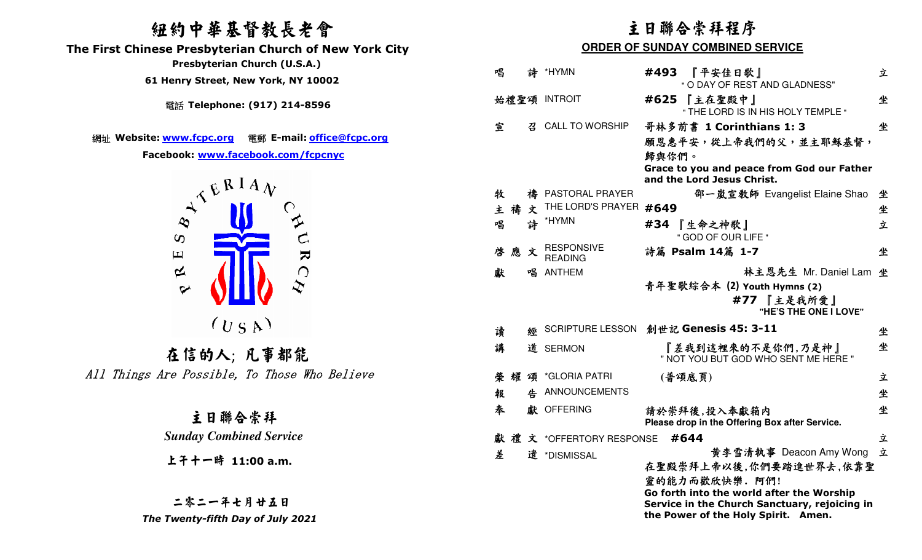# 紐約中華基督教長老會

 **The First Chinese Presbyterian Church of New York City** 

 **Presbyterian Church (U.S.A.)** 

 **61 Henry Street, New York, NY 10002**

電話 **Telephone: (917) 214-8596** 

網址 **Website: www.fcpc.org** 電郵 **E-mail: office@fcpc.org**

**Facebook: www.facebook.com/fcpcnyc**



在信的人; 凡事都能All Things Are Possible, To Those Who Believe

> 主日聯合崇拜 *Sunday Combined Service*

上午十一時 **11:00 a.m.**

二零二一年七月廿五日 *The Twenty-fifth Day of July 2021* 

# 主日聯合崇拜程序

### **ORDER OF SUNDAY COMBINED SERVICE**

| 唱      |   | 詩 *HYMN                             | 『平安佳日歌』<br>#493<br>" O DAY OF REST AND GLADNESS"               | 立 |
|--------|---|-------------------------------------|----------------------------------------------------------------|---|
|        |   | 始禮聖頌 INTROIT                        | 『主在聖殿中』<br>#625<br>" THE LORD IS IN HIS HOLY TEMPLE "          | 坐 |
| 宣      | 召 | <b>CALL TO WORSHIP</b>              | 哥林多前書 1 Corinthians 1: 3                                       | 坐 |
|        |   |                                     | 願恩惠平安,從上帝我們的父,並主耶穌基督,                                          |   |
|        |   |                                     | 歸與你們。<br>Grace to you and peace from God our Father            |   |
|        |   |                                     | and the Lord Jesus Christ.                                     |   |
| 牧      | 禱 | PASTORAL PRAYER                     | 邵一嵐宣教師 Evangelist Elaine Shao                                  | 坐 |
| 主禧文    |   | THE LORD'S PRAYER                   | #649                                                           | 坐 |
| 唱      | 誅 | *HYMN                               | #34 『生命之神歌』<br>" GOD OF OUR LIFE "                             | 立 |
| 啓應     | 文 | <b>RESPONSIVE</b><br><b>READING</b> | 詩篇 Psalm 14篇 1-7                                               | 坐 |
| 獻      | 唱 | <b>ANTHEM</b>                       | 林主恩先生 Mr. Daniel Lam                                           | 坐 |
|        |   |                                     | 青年聖歌綜合本 (2) Youth Hymns (2)<br>#77 『主是我所愛』                     |   |
|        |   |                                     | "HE'S THE ONE I LOVE"                                          |   |
| 讀      | 經 |                                     | SCRIPTURE LESSON 創世記 Genesis 45: 3-11                          | 坐 |
| 講      | 道 | <b>SERMON</b>                       | 『差我到這裡來的不是你們,乃是神』<br>" NOT YOU BUT GOD WHO SENT ME HERE "      | 坐 |
| 榮<br>耀 | 頌 | *GLORIA PATRI                       | (普頌底頁)                                                         | 立 |
| 報      | 告 | ANNOUNCEMENTS                       |                                                                | 坐 |
| 奉      |   | 獻 OFFERING                          | 請於崇拜後,投入奉獻箱内<br>Please drop in the Offering Box after Service. | 坐 |
|        |   | 獻禮文 *OFFERTORY RESPONSE             | #644                                                           | 立 |
| 差      |   | 遣 *DISMISSAL                        | 黄李雪清執事 Deacon Amy Wong                                         | 立 |
|        |   |                                     | 在聖殿崇拜上帝以後,你們要踏進世界去,依靠聖                                         |   |
|        |   |                                     | 靈的能力而歡欣快樂. 阿們!<br>Go forth into the world after the Worship    |   |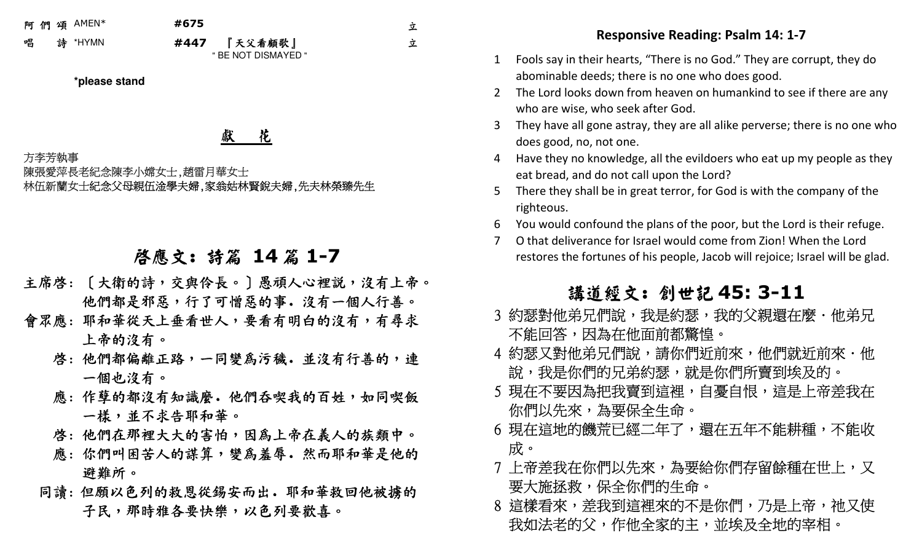阿 們 頌领 AMEN\* **#675**<br>、、

\*HYMN **#447** 

7 『天父看顧歌』<br>- "PENGI BIGMAYE " BE NOT DISMAYED " 立

立

**\*please stand** 

獻 花

方李芳執事 陳張愛萍長老紀念陳李小嫦女士,趙雷月華女士 林伍新蘭女士紀念父母親伍淦學夫婦,家翁姑林賢銳夫婦,先夫林榮臻先生

# 啟應文: 詩篇 **<sup>14</sup>** 篇 **1-7**

- 主席啓: 〔大衛的詩,交與伶長。〕愚頑人心裡説,沒有上帝。 他們都是邪惡,行了可憎惡的事.沒有一個人行善。
- 會眾應: 耶和華從天上垂看世人,要看有明白的沒有,有尋求 上帝的沒有。
	- 啓: 他們都偏離正路,一同變為污穢. 並沒有行善的,連 <sup>一</sup>個也沒有。
	- 應: 作孽的都沒有知識麼. 他們吞喫我的百姓,如同喫飯 --樣,並不求告耶和華。
	- 啓: 他們在那裡大大的害怕,因為上帝在義人的族類中。
	- 應: 你們叫困苦人的謀算,變為羞辱. 然而耶和華是他的 避難所。
- 同讀: 但願以色列的救恩從錫安而出. 耶和華救回他被擄的 子民,那時雅各要快樂,以色列要歡喜

- 1 Fools say in their hearts, "There is no God." They are corrupt, they do abominable deeds; there is no one who does good.
- 2 The Lord looks down from heaven on humankind to see if there are any who are wise, who seek after God.
- 3 They have all gone astray, they are all alike perverse; there is no one who does good, no, not one.
- 4 Have they no knowledge, all the evildoers who eat up my people as they eat bread, and do not call upon the Lord?
- 5 There they shall be in great terror, for God is with the company of the righteous.
- 6 You would confound the plans of the poor, but the Lord is their refuge.
- 7 O that deliverance for Israel would come from Zion! When the Lord restores the fortunes of his people, Jacob will rejoice; Israel will be glad.

# **講道經文: 創世記 45: 3-11**<br>弟兄們說,我具約瑟,我的父親還在國

- 3 約瑟對他弟兄們說,我是約瑟,我的父親還在麼.他弟兄<sub>,</sub> 不能回答,因為在他面前都驚惶。
- 4 約瑟又對他弟兄們說,請你們近前來,他們就近前來.他 …說,我是你們的兄弟約瑟,就是你們所賣到埃及的。」
- 5 現在不要因為把我賣到這裡,自憂自恨,這是上帝差我在 你們以先來,為要保全生命。
- Responsive Reading: Psalm 14: 1.7<br>
1 Fools say in this heat to absolute the sects of the paramount of the same of the sects.<br>
1 Fools say in the interesting on the subset of the sects of the sects of the sects of the sect 6 現在這地的饑荒已經二年了,還在五年不能耕種,不能收 成。
	- 7 上帝差我在你們以先來,為要給你們存留餘種在世上,又一 要大施拯救,保全你們的生命。
	- 8 這樣看來,差我到這裡來的不是你們,乃是上帝,祂又使 我如法老的父,作他全家的主,並埃及全地的宰相。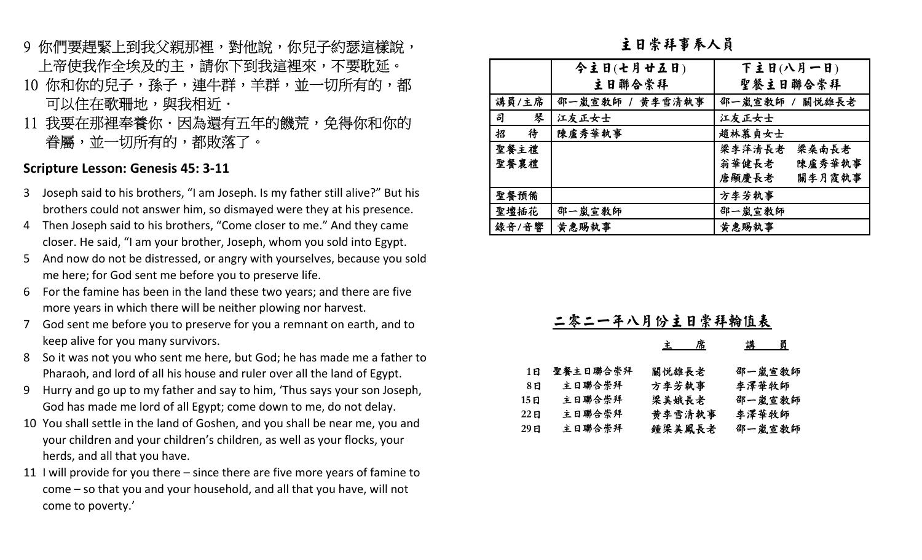- 9 你們要趕緊上到我父親那裡,對他說,你兒子約瑟這樣說,<br>上帝使我作全埃及的主,請你下到我這裡來,不要耽延。<br>10 你和你的兒子,孫子,連牛群,羊群,並一切所有的,都<br>可以住在歌珊地,與我相近.<br>11 我要在那裡奉養你.因為還有五年的饑荒,免得你和你的<br>眷屬,並一切所有的,都敗落了。
- 
- 

### **Scripture Lesson: Genesis 45: 3-11**

- 3 Joseph said to his brothers, "I am Joseph. Is my father still alive?" But his brothers could not answer him, so dismayed were they at his presence.
- 4 Then Joseph said to his brothers, "Come closer to me." And they came closer. He said, "I am your brother, Joseph, whom you sold into Egypt.
- 5 And now do not be distressed, or angry with yourselves, because you sold me here; for God sent me before you to preserve life.
- 6 For the famine has been in the land these two years; and there are five more years in which there will be neither plowing nor harvest.
- 7 God sent me before you to preserve for you a remnant on earth, and to keep alive for you many survivors.
- 8 So it was not you who sent me here, but God; he has made me a father to Pharaoh, and lord of all his house and ruler over all the land of Egypt.
- 9 Hurry and go up to my father and say to him, 'Thus says your son Joseph, God has made me lord of all Egypt; come down to me, do not delay.
- 10 You shall settle in the land of Goshen, and you shall be near me, you and your children and your children's children, as well as your flocks, your herds, and all that you have.
- 11 I will provide for you there since there are five more years of famine to come – so that you and your household, and all that you have, will not come to poverty.'

主日崇拜事奉人員

|        | 今主日(七月廿五日)      | 下主日(八月一日)       |
|--------|-----------------|-----------------|
|        | 主日聯合崇拜          | 聖餐主日聯合崇拜        |
| 講員/主席  | 邵一嵐宣敎師 / 黄李雪清執事 | 邵一嵐宣敎師 / 關悦雄長老  |
| 司<br>琴 | 江友正女士           | 江友正女士           |
| 待<br>招 | 陳盧秀華執事          | 趙林慕貞女士          |
| 聖餐主禮   |                 | 梁李萍清長老<br>梁桑南長老 |
| 聖餐襄禮   |                 | 陳盧秀華執事<br>翁華健長老 |
|        |                 | 關李月霞執事<br>唐顯慶長老 |
| 聖餐預備   |                 | 方李芳執事           |
| 聖壇插花   | 邵一嵐宣教師          | 邵一嵐宣教師          |
| 錄音/音響  | 黄惠賜執事           | 黄惠賜執事           |

|      | 二零二一年八月份主日崇拜翰值表 |        |        |  |  |
|------|-----------------|--------|--------|--|--|
|      |                 | 席<br>主 | 講<br>員 |  |  |
| 1E   | 聖餐主日聯合崇拜        | 關悦雄長老  | 邵一嵐宣敎師 |  |  |
| 8 ម  | 主日聯合崇拜          | 方李芳執事  | 李澤華牧師  |  |  |
|      | 主日聯合崇拜          | 梁美娥長老  | 邵一嵐宣教師 |  |  |
|      | 主日聯合崇拜          | 黄李雪清執事 | 李澤華牧師  |  |  |
| 29 E | 主日聯合崇拜          | 鍾梁美鳳長老 | 邵一嵐宣敎師 |  |  |
|      |                 |        |        |  |  |